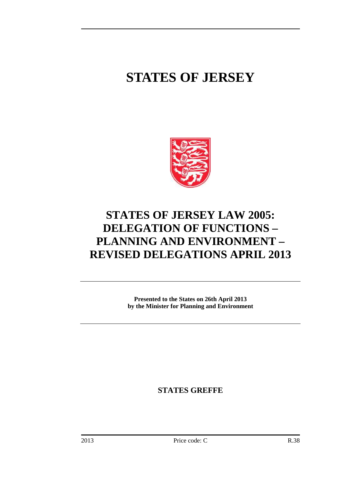# **STATES OF JERSEY**



## **STATES OF JERSEY LAW 2005: DELEGATION OF FUNCTIONS – PLANNING AND ENVIRONMENT – REVISED DELEGATIONS APRIL 2013**

**Presented to the States on 26th April 2013 by the Minister for Planning and Environment** 

**STATES GREFFE**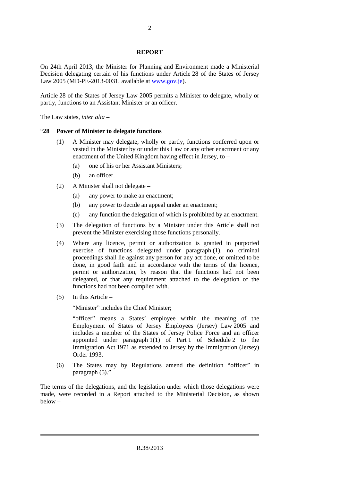#### **REPORT**

On 24th April 2013, the Minister for Planning and Environment made a Ministerial Decision delegating certain of his functions under Article 28 of the States of Jersey Law 2005 (MD-PE-2013-0031, available at www.gov.je).

Article 28 of the States of Jersey Law 2005 permits a Minister to delegate, wholly or partly, functions to an Assistant Minister or an officer.

The Law states, *inter alia* –

#### "**28 Power of Minister to delegate functions**

- (1) A Minister may delegate, wholly or partly, functions conferred upon or vested in the Minister by or under this Law or any other enactment or any enactment of the United Kingdom having effect in Jersey, to –
	- (a) one of his or her Assistant Ministers;
	- (b) an officer.
- (2) A Minister shall not delegate
	- (a) any power to make an enactment;
	- (b) any power to decide an appeal under an enactment;
	- (c) any function the delegation of which is prohibited by an enactment.
- (3) The delegation of functions by a Minister under this Article shall not prevent the Minister exercising those functions personally.
- (4) Where any licence, permit or authorization is granted in purported exercise of functions delegated under paragraph (1), no criminal proceedings shall lie against any person for any act done, or omitted to be done, in good faith and in accordance with the terms of the licence, permit or authorization, by reason that the functions had not been delegated, or that any requirement attached to the delegation of the functions had not been complied with.
- (5) In this Article –

"Minister" includes the Chief Minister;

"officer" means a States' employee within the meaning of the Employment of States of Jersey Employees (Jersey) Law 2005 and includes a member of the States of Jersey Police Force and an officer appointed under paragraph 1(1) of Part 1 of Schedule 2 to the Immigration Act 1971 as extended to Jersey by the Immigration (Jersey) Order 1993.

(6) The States may by Regulations amend the definition "officer" in paragraph (5)."

The terms of the delegations, and the legislation under which those delegations were made, were recorded in a Report attached to the Ministerial Decision, as shown below –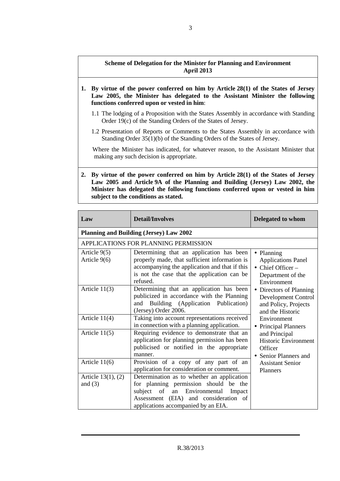### **Scheme of Delegation for the Minister for Planning and Environment April 2013**

- **1. By virtue of the power conferred on him by Article 28(1) of the States of Jersey Law 2005, the Minister has delegated to the Assistant Minister the following functions conferred upon or vested in him**:
	- 1.1 The lodging of a Proposition with the States Assembly in accordance with Standing Order 19(c) of the Standing Orders of the States of Jersey.
	- 1.2 Presentation of Reports or Comments to the States Assembly in accordance with Standing Order 35(1)(b) of the Standing Orders of the States of Jersey.

Where the Minister has indicated, for whatever reason, to the Assistant Minister that making any such decision is appropriate.

**2. By virtue of the power conferred on him by Article 28(1) of the States of Jersey Law 2005 and Article 9A of the Planning and Building (Jersey) Law 2002, the Minister has delegated the following functions conferred upon or vested in him subject to the conditions as stated.** 

| Law                                  | <b>Detail/Involves</b>                                                                                                                                                                                       | <b>Delegated to whom</b>                                                                                                |
|--------------------------------------|--------------------------------------------------------------------------------------------------------------------------------------------------------------------------------------------------------------|-------------------------------------------------------------------------------------------------------------------------|
|                                      | <b>Planning and Building (Jersey) Law 2002</b>                                                                                                                                                               |                                                                                                                         |
|                                      | APPLICATIONS FOR PLANNING PERMISSION                                                                                                                                                                         |                                                                                                                         |
| Article 9(5)<br>Article 9(6)         | Determining that an application has been<br>properly made, that sufficient information is<br>accompanying the application and that if this<br>is not the case that the application can be<br>refused.        | • Planning<br><b>Applications Panel</b><br>$\bullet$ Chief Officer –<br>Department of the<br>Environment                |
| Article $11(3)$                      | Determining that an application has been<br>publicized in accordance with the Planning<br>and Building (Application Publication)<br>(Jersey) Order 2006.                                                     | Directors of Planning<br>Development Control<br>and Policy, Projects<br>and the Historic                                |
| Article 11(4)                        | Taking into account representations received<br>in connection with a planning application.                                                                                                                   | Environment<br><b>Principal Planners</b>                                                                                |
| Article $11(5)$                      | Requiring evidence to demonstrate that an<br>application for planning permission has been<br>publicised or notified in the appropriate<br>manner.                                                            | and Principal<br><b>Historic Environment</b><br>Officer<br>• Senior Planners and<br><b>Assistant Senior</b><br>Planners |
| Article $11(6)$                      | Provision of a copy of any part of an<br>application for consideration or comment.                                                                                                                           |                                                                                                                         |
| Article $13(1)$ , $(2)$<br>and $(3)$ | Determination as to whether an application<br>for planning permission should be the<br>subject of an Environmental<br>Impact<br>Assessment (EIA) and consideration of<br>applications accompanied by an EIA. |                                                                                                                         |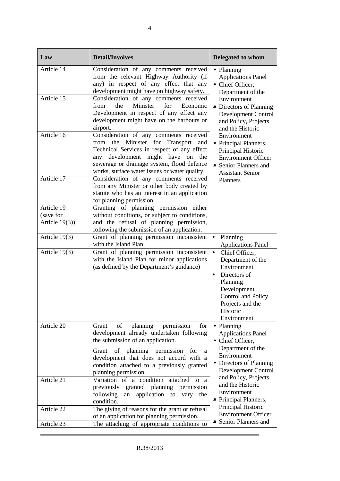| Law                     | <b>Detail/Involves</b>                                                                                                                                                                                                                                                                     | <b>Delegated to whom</b>                                                                                                                                                                      |
|-------------------------|--------------------------------------------------------------------------------------------------------------------------------------------------------------------------------------------------------------------------------------------------------------------------------------------|-----------------------------------------------------------------------------------------------------------------------------------------------------------------------------------------------|
| Article 14              | Consideration of any comments received<br>from the relevant Highway Authority (if<br>any) in respect of any effect that any<br>development might have on highway safety.                                                                                                                   | • Planning<br><b>Applications Panel</b><br>• Chief Officer,<br>Department of the                                                                                                              |
| Article $\overline{15}$ | Consideration of any comments received<br>Minister<br>from<br>the<br>for<br>Economic<br>Development in respect of any effect any<br>development might have on the harbours or<br>airport.                                                                                                  | Environment<br>• Directors of Planning<br><b>Development Control</b><br>and Policy, Projects<br>and the Historic                                                                              |
| Article 16              | Consideration of any comments received<br>from the Minister for Transport<br>and<br>Technical Services in respect of any effect<br>any development might have<br>the<br>on<br>sewerage or drainage system, flood defence<br>works, surface water issues or water quality.                  | Environment<br>• Principal Planners,<br>Principal Historic<br><b>Environment Officer</b><br>• Senior Planners and<br><b>Assistant Senior</b>                                                  |
| Article 17              | Consideration of any comments received<br>from any Minister or other body created by<br>statute who has an interest in an application<br>for planning permission.                                                                                                                          | Planners                                                                                                                                                                                      |
| Article 19              | Granting of planning permission either                                                                                                                                                                                                                                                     |                                                                                                                                                                                               |
| (save for               | without conditions, or subject to conditions,                                                                                                                                                                                                                                              |                                                                                                                                                                                               |
| Article $19(3)$ )       | and the refusal of planning permission,<br>following the submission of an application.                                                                                                                                                                                                     |                                                                                                                                                                                               |
| Article 19(3)           | Grant of planning permission inconsistent<br>with the Island Plan.                                                                                                                                                                                                                         | Planning<br>$\bullet$<br><b>Applications Panel</b>                                                                                                                                            |
| Article 19(3)           | Grant of planning permission inconsistent<br>with the Island Plan for minor applications<br>(as defined by the Department's guidance)                                                                                                                                                      | $\bullet$<br>Chief Officer,<br>Department of the<br>Environment<br>Directors of<br>$\bullet$<br>Planning<br>Development<br>Control and Policy,<br>Projects and the<br>Historic<br>Environment |
| Article 20              | planning<br>permission<br>Grant<br>of<br>for<br>development already undertaken following<br>the submission of an application.<br>Grant of planning permission<br>for<br>a<br>development that does not accord with a<br>condition attached to a previously granted<br>planning permission. | • Planning<br><b>Applications Panel</b><br>• Chief Officer,<br>Department of the<br>Environment<br>• Directors of Planning<br><b>Development Control</b>                                      |
| Article 21              | Variation of a condition<br>attached to a<br>granted planning<br>permission<br>previously<br>following<br>application to<br>vary<br>an<br>the<br>condition.                                                                                                                                | and Policy, Projects<br>and the Historic<br>Environment<br>• Principal Planners,                                                                                                              |
| Article 22              | The giving of reasons for the grant or refusal<br>of an application for planning permission.                                                                                                                                                                                               | Principal Historic<br><b>Environment Officer</b>                                                                                                                                              |
| Article 23              | The attaching of appropriate conditions to                                                                                                                                                                                                                                                 | • Senior Planners and                                                                                                                                                                         |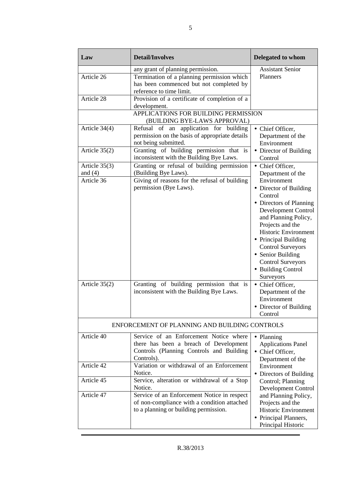| Law                                                           | <b>Detail/Involves</b>                                                                                                                                                                                                               | Delegated to whom                                                                                                                                                                                                                                                                                                                                                                                                                                           |
|---------------------------------------------------------------|--------------------------------------------------------------------------------------------------------------------------------------------------------------------------------------------------------------------------------------|-------------------------------------------------------------------------------------------------------------------------------------------------------------------------------------------------------------------------------------------------------------------------------------------------------------------------------------------------------------------------------------------------------------------------------------------------------------|
| Article 26<br>Article 28                                      | any grant of planning permission.<br>Termination of a planning permission which<br>has been commenced but not completed by<br>reference to time limit.<br>Provision of a certificate of completion of a<br>development.              | <b>Assistant Senior</b><br>Planners                                                                                                                                                                                                                                                                                                                                                                                                                         |
|                                                               | APPLICATIONS FOR BUILDING PERMISSION<br>(BUILDING BYE-LAWS APPROVAL)                                                                                                                                                                 |                                                                                                                                                                                                                                                                                                                                                                                                                                                             |
| Article 34(4)                                                 | Refusal of an application for building<br>permission on the basis of appropriate details<br>not being submitted.                                                                                                                     | • Chief Officer,<br>Department of the<br>Environment                                                                                                                                                                                                                                                                                                                                                                                                        |
| Article $35(2)$                                               | Granting of building permission that is<br>inconsistent with the Building Bye Laws.                                                                                                                                                  | • Director of Building<br>Control                                                                                                                                                                                                                                                                                                                                                                                                                           |
| Article $35(3)$<br>and $(4)$<br>Article 36<br>Article $35(2)$ | Granting or refusal of building permission<br>(Building Bye Laws).<br>Giving of reasons for the refusal of building<br>permission (Bye Laws).<br>Granting of building permission that is<br>inconsistent with the Building Bye Laws. | • Chief Officer,<br>Department of the<br>Environment<br>• Director of Building<br>Control<br>• Directors of Planning<br>Development Control<br>and Planning Policy,<br>Projects and the<br><b>Historic Environment</b><br>• Principal Building<br><b>Control Surveyors</b><br>• Senior Building<br><b>Control Surveyors</b><br>• Building Control<br>Surveyors<br>• Chief Officer,<br>Department of the<br>Environment<br>• Director of Building<br>Control |
|                                                               | ENFORCEMENT OF PLANNING AND BUILDING CONTROLS                                                                                                                                                                                        |                                                                                                                                                                                                                                                                                                                                                                                                                                                             |
| Article 40                                                    | Service of an Enforcement Notice where<br>there has been a breach of Development<br>Controls (Planning Controls and Building<br>Controls).                                                                                           | • Planning<br><b>Applications Panel</b><br>• Chief Officer,<br>Department of the                                                                                                                                                                                                                                                                                                                                                                            |
| Article 42                                                    | Variation or withdrawal of an Enforcement<br>Notice.                                                                                                                                                                                 | Environment<br>• Directors of Building                                                                                                                                                                                                                                                                                                                                                                                                                      |
| Article 45<br>Article 47                                      | Service, alteration or withdrawal of a Stop<br>Notice.<br>Service of an Enforcement Notice in respect                                                                                                                                | Control; Planning<br>Development Control<br>and Planning Policy,                                                                                                                                                                                                                                                                                                                                                                                            |
|                                                               | of non-compliance with a condition attached<br>to a planning or building permission.                                                                                                                                                 | Projects and the<br>Historic Environment<br>• Principal Planners,<br>Principal Historic                                                                                                                                                                                                                                                                                                                                                                     |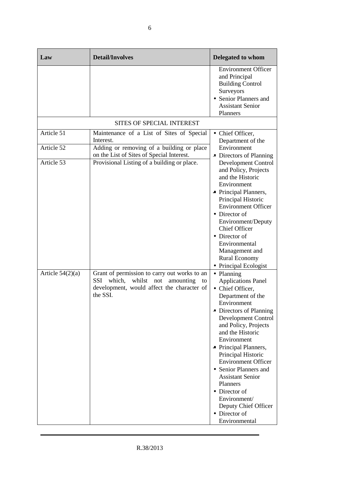| Law                        | <b>Detail/Involves</b>                                                                                                                                      | Delegated to whom                                                                                                                                                                                                                                                                                                                                                                                                                                    |
|----------------------------|-------------------------------------------------------------------------------------------------------------------------------------------------------------|------------------------------------------------------------------------------------------------------------------------------------------------------------------------------------------------------------------------------------------------------------------------------------------------------------------------------------------------------------------------------------------------------------------------------------------------------|
|                            |                                                                                                                                                             | <b>Environment Officer</b><br>and Principal<br><b>Building Control</b><br>Surveyors<br>• Senior Planners and<br><b>Assistant Senior</b><br>Planners                                                                                                                                                                                                                                                                                                  |
|                            | <b>SITES OF SPECIAL INTEREST</b>                                                                                                                            |                                                                                                                                                                                                                                                                                                                                                                                                                                                      |
| Article $51$<br>Article 52 | Maintenance of a List of Sites of Special<br>Interest.<br>Adding or removing of a building or place                                                         | • Chief Officer,<br>Department of the<br>Environment                                                                                                                                                                                                                                                                                                                                                                                                 |
| Article 53                 | on the List of Sites of Special Interest.<br>Provisional Listing of a building or place.                                                                    | • Directors of Planning<br>Development Control<br>and Policy, Projects<br>and the Historic<br>Environment<br>• Principal Planners,<br>Principal Historic<br><b>Environment Officer</b><br>• Director of<br>Environment/Deputy<br><b>Chief Officer</b><br>• Director of<br>Environmental<br>Management and<br><b>Rural Economy</b>                                                                                                                    |
| Article $54(2)(a)$         | Grant of permission to carry out works to an<br>which,<br>whilst<br>SSI<br>not<br>amounting<br>to<br>development, would affect the character of<br>the SSI. | • Planning<br><b>Applications Panel</b><br>• Chief Officer,<br>Department of the<br>Environment<br>• Directors of Planning<br>Development Control<br>and Policy, Projects<br>and the Historic<br>Environment<br>• Principal Planners,<br>Principal Historic<br><b>Environment Officer</b><br>• Senior Planners and<br><b>Assistant Senior</b><br>Planners<br>• Director of<br>Environment/<br>Deputy Chief Officer<br>• Director of<br>Environmental |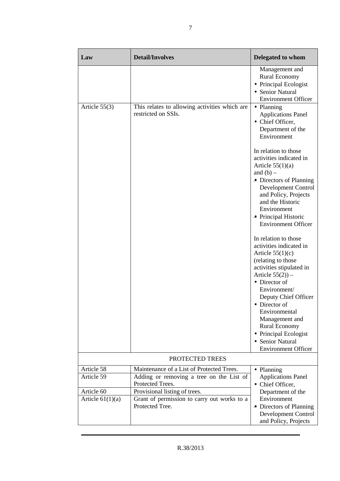| Law                                    | <b>Detail/Involves</b>                                                                                                                     | <b>Delegated to whom</b>                                                                                                                                                                                                                                                                                                                                       |
|----------------------------------------|--------------------------------------------------------------------------------------------------------------------------------------------|----------------------------------------------------------------------------------------------------------------------------------------------------------------------------------------------------------------------------------------------------------------------------------------------------------------------------------------------------------------|
|                                        |                                                                                                                                            | Management and<br><b>Rural Economy</b><br>• Principal Ecologist<br>• Senior Natural<br><b>Environment Officer</b>                                                                                                                                                                                                                                              |
| Article $55(3)$                        | This relates to allowing activities which are<br>restricted on SSIs.                                                                       | • Planning<br><b>Applications Panel</b><br>• Chief Officer,<br>Department of the<br>Environment                                                                                                                                                                                                                                                                |
|                                        |                                                                                                                                            | In relation to those<br>activities indicated in<br>Article $55(1)(a)$<br>and $(b)$ –<br>• Directors of Planning<br>Development Control<br>and Policy, Projects<br>and the Historic<br>Environment<br>• Principal Historic<br><b>Environment Officer</b>                                                                                                        |
|                                        |                                                                                                                                            | In relation to those<br>activities indicated in<br>Article $55(1)(c)$<br>(relating to those<br>activities stipulated in<br>Article $55(2)$ ) –<br>• Director of<br>Environment/<br>Deputy Chief Officer<br>• Director of<br>Environmental<br>Management and<br><b>Rural Economy</b><br>• Principal Ecologist<br>• Senior Natural<br><b>Environment Officer</b> |
|                                        | PROTECTED TREES                                                                                                                            |                                                                                                                                                                                                                                                                                                                                                                |
| Article 58<br>Article 59<br>Article 60 | Maintenance of a List of Protected Trees.<br>Adding or removing a tree on the List of<br>Protected Trees.<br>Provisional listing of trees. | • Planning<br><b>Applications Panel</b><br>• Chief Officer,<br>Department of the                                                                                                                                                                                                                                                                               |
| Article $61(1)(a)$                     | Grant of permission to carry out works to a<br>Protected Tree.                                                                             | Environment<br>• Directors of Planning<br>Development Control<br>and Policy, Projects                                                                                                                                                                                                                                                                          |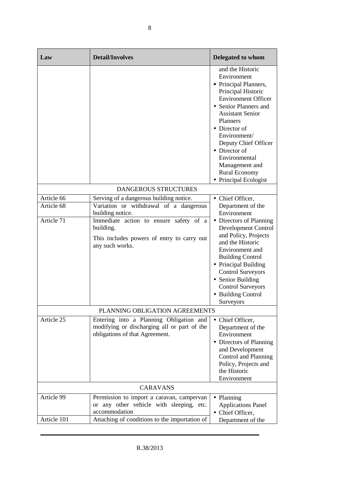| Law                      | <b>Detail/Involves</b>                                                                                                                   | <b>Delegated to whom</b>                                                                                                                                                                                                                                                                                                                                  |
|--------------------------|------------------------------------------------------------------------------------------------------------------------------------------|-----------------------------------------------------------------------------------------------------------------------------------------------------------------------------------------------------------------------------------------------------------------------------------------------------------------------------------------------------------|
|                          |                                                                                                                                          | and the Historic<br>Environment<br>• Principal Planners,<br>Principal Historic<br><b>Environment Officer</b><br>• Senior Planners and<br><b>Assistant Senior</b><br><b>Planners</b><br>$\bullet$ Director of<br>Environment/<br>Deputy Chief Officer<br>• Director of<br>Environmental<br>Management and<br><b>Rural Economy</b><br>• Principal Ecologist |
|                          | <b>DANGEROUS STRUCTURES</b>                                                                                                              |                                                                                                                                                                                                                                                                                                                                                           |
| Article 66<br>Article 68 | Serving of a dangerous building notice.<br>Variation or withdrawal of a dangerous                                                        | • Chief Officer,<br>Department of the<br>Environment                                                                                                                                                                                                                                                                                                      |
| Article 71               | building notice.<br>Immediate action to ensure safety of a<br>building.<br>This includes powers of entry to carry out<br>any such works. | • Directors of Planning<br>Development Control<br>and Policy, Projects<br>and the Historic<br>Environment and<br><b>Building Control</b><br>• Principal Building<br><b>Control Surveyors</b><br>• Senior Building<br><b>Control Surveyors</b><br>• Building Control<br>Surveyors                                                                          |
|                          | PLANNING OBLIGATION AGREEMENTS                                                                                                           |                                                                                                                                                                                                                                                                                                                                                           |
| Article 25               | Entering into a Planning Obligation and<br>modifying or discharging all or part of the<br>obligations of that Agreement.                 | • Chief Officer,<br>Department of the<br>Environment<br>• Directors of Planning<br>and Development<br>Control and Planning<br>Policy, Projects and<br>the Historic<br>Environment                                                                                                                                                                         |
| <b>CARAVANS</b>          |                                                                                                                                          |                                                                                                                                                                                                                                                                                                                                                           |
| Article 99               | Permission to import a caravan, campervan<br>or any other vehicle with sleeping, etc.<br>accommodation                                   | • Planning<br><b>Applications Panel</b><br>• Chief Officer,                                                                                                                                                                                                                                                                                               |
| Article 101              | Attaching of conditions to the importation of                                                                                            | Department of the                                                                                                                                                                                                                                                                                                                                         |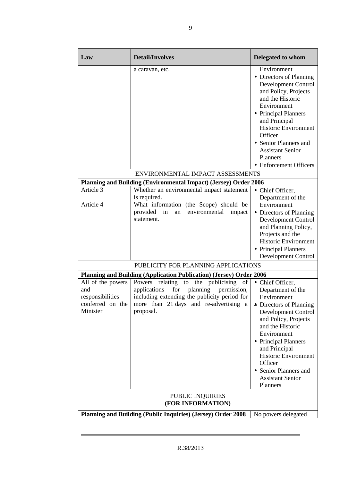| Law                                                                                 | <b>Detail/Involves</b>                                                                                                                                                                            | Delegated to whom                                                                                                                                                                                                                                                                                                  |
|-------------------------------------------------------------------------------------|---------------------------------------------------------------------------------------------------------------------------------------------------------------------------------------------------|--------------------------------------------------------------------------------------------------------------------------------------------------------------------------------------------------------------------------------------------------------------------------------------------------------------------|
|                                                                                     | a caravan, etc.                                                                                                                                                                                   | Environment<br>• Directors of Planning<br>Development Control<br>and Policy, Projects<br>and the Historic<br>Environment<br>• Principal Planners<br>and Principal<br><b>Historic Environment</b><br>Officer<br>• Senior Planners and<br><b>Assistant Senior</b><br>Planners<br>• Enforcement Officers              |
|                                                                                     | ENVIRONMENTAL IMPACT ASSESSMENTS                                                                                                                                                                  |                                                                                                                                                                                                                                                                                                                    |
|                                                                                     | Planning and Building (Environmental Impact) (Jersey) Order 2006                                                                                                                                  |                                                                                                                                                                                                                                                                                                                    |
| Article 3                                                                           | Whether an environmental impact statement<br>is required.                                                                                                                                         | • Chief Officer,<br>Department of the                                                                                                                                                                                                                                                                              |
| Article 4                                                                           | What information (the Scope) should be<br>provided in<br>environmental<br>impact<br>an<br>statement.                                                                                              | Environment<br>• Directors of Planning<br>Development Control<br>and Planning Policy,<br>Projects and the<br><b>Historic Environment</b><br>• Principal Planners<br>Development Control                                                                                                                            |
|                                                                                     | PUBLICITY FOR PLANNING APPLICATIONS                                                                                                                                                               |                                                                                                                                                                                                                                                                                                                    |
|                                                                                     | Planning and Building (Application Publication) (Jersey) Order 2006                                                                                                                               |                                                                                                                                                                                                                                                                                                                    |
| All of the powers<br>and<br>responsibilities<br>conferred on the<br>Minister        | relating to the publicising of<br>Powers<br>for<br>applications<br>planning<br>permission,<br>including extending the publicity period for<br>more than 21 days and re-advertising a<br>proposal. | • Chief Officer,<br>Department of the<br>Environment<br>Directors of Planning<br>Development Control<br>and Policy, Projects<br>and the Historic<br>Environment<br>• Principal Planners<br>and Principal<br><b>Historic Environment</b><br>Officer<br>• Senior Planners and<br><b>Assistant Senior</b><br>Planners |
| PUBLIC INQUIRIES<br>(FOR INFORMATION)                                               |                                                                                                                                                                                                   |                                                                                                                                                                                                                                                                                                                    |
| Planning and Building (Public Inquiries) (Jersey) Order 2008<br>No powers delegated |                                                                                                                                                                                                   |                                                                                                                                                                                                                                                                                                                    |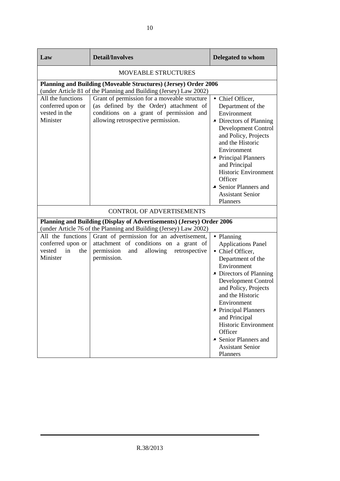| Law                                                                       | <b>Detail/Involves</b>                                                                                                                                                   | Delegated to whom                                                                                                                                                                                                                                                                                                                                               |  |
|---------------------------------------------------------------------------|--------------------------------------------------------------------------------------------------------------------------------------------------------------------------|-----------------------------------------------------------------------------------------------------------------------------------------------------------------------------------------------------------------------------------------------------------------------------------------------------------------------------------------------------------------|--|
|                                                                           | <b>MOVEABLE STRUCTURES</b>                                                                                                                                               |                                                                                                                                                                                                                                                                                                                                                                 |  |
|                                                                           | Planning and Building (Moveable Structures) (Jersey) Order 2006<br>(under Article 81 of the Planning and Building (Jersey) Law 2002)                                     |                                                                                                                                                                                                                                                                                                                                                                 |  |
| All the functions<br>conferred upon or<br>vested in the<br>Minister       | Grant of permission for a moveable structure<br>(as defined by the Order) attachment of<br>conditions on a grant of permission and<br>allowing retrospective permission. | • Chief Officer,<br>Department of the<br>Environment<br>• Directors of Planning<br>Development Control<br>and Policy, Projects<br>and the Historic<br>Environment<br>• Principal Planners<br>and Principal<br><b>Historic Environment</b><br>Officer<br>• Senior Planners and<br><b>Assistant Senior</b><br>Planners                                            |  |
|                                                                           | <b>CONTROL OF ADVERTISEMENTS</b>                                                                                                                                         |                                                                                                                                                                                                                                                                                                                                                                 |  |
|                                                                           | Planning and Building (Display of Advertisements) (Jersey) Order 2006<br>(under Article 76 of the Planning and Building (Jersey) Law 2002)                               |                                                                                                                                                                                                                                                                                                                                                                 |  |
| All the functions<br>conferred upon or<br>in<br>vested<br>the<br>Minister | Grant of permission for an advertisement,<br>attachment of conditions on a grant of<br>permission and<br>allowing<br>retrospective<br>permission.                        | • Planning<br><b>Applications Panel</b><br>• Chief Officer,<br>Department of the<br>Environment<br>• Directors of Planning<br>Development Control<br>and Policy, Projects<br>and the Historic<br>Environment<br>• Principal Planners<br>and Principal<br><b>Historic Environment</b><br>Officer<br>• Senior Planners and<br><b>Assistant Senior</b><br>Planners |  |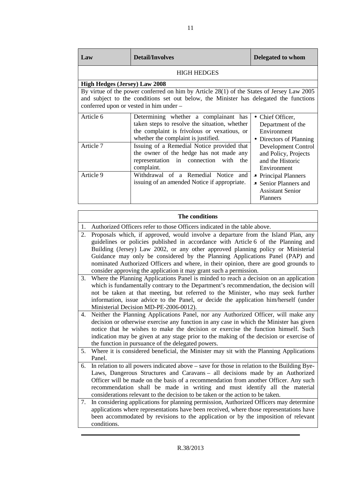| Law                                                                                                                                                                                                                           | <b>Detail/Involves</b>                                                                                                                                                       | Delegated to whom                                                                    |
|-------------------------------------------------------------------------------------------------------------------------------------------------------------------------------------------------------------------------------|------------------------------------------------------------------------------------------------------------------------------------------------------------------------------|--------------------------------------------------------------------------------------|
|                                                                                                                                                                                                                               | <b>HIGH HEDGES</b>                                                                                                                                                           |                                                                                      |
| <b>High Hedges (Jersey) Law 2008</b>                                                                                                                                                                                          |                                                                                                                                                                              |                                                                                      |
| By virtue of the power conferred on him by Article 28(1) of the States of Jersey Law 2005<br>and subject to the conditions set out below, the Minister has delegated the functions<br>conferred upon or vested in him under - |                                                                                                                                                                              |                                                                                      |
| Article 6                                                                                                                                                                                                                     | Determining whether a complainant has<br>taken steps to resolve the situation, whether<br>the complaint is frivolous or vexatious, or<br>whether the complaint is justified. | • Chief Officer,<br>Department of the<br>Environment<br>• Directors of Planning      |
| Article 7                                                                                                                                                                                                                     | Issuing of a Remedial Notice provided that<br>the owner of the hedge has not made any<br>representation in connection<br>with<br>the<br>complaint.                           | Development Control<br>and Policy, Projects<br>and the Historic<br>Environment       |
| Article 9                                                                                                                                                                                                                     | Withdrawal of a Remedial Notice and<br>issuing of an amended Notice if appropriate.                                                                                          | • Principal Planners<br>• Senior Planners and<br><b>Assistant Senior</b><br>Planners |

|    | The conditions                                                                                                                                                                                                                                                                                                                                                                                                                     |  |  |
|----|------------------------------------------------------------------------------------------------------------------------------------------------------------------------------------------------------------------------------------------------------------------------------------------------------------------------------------------------------------------------------------------------------------------------------------|--|--|
| 1. | Authorized Officers refer to those Officers indicated in the table above.                                                                                                                                                                                                                                                                                                                                                          |  |  |
| 2. | Proposals which, if approved, would involve a departure from the Island Plan, any<br>guidelines or policies published in accordance with Article 6 of the Planning and<br>Building (Jersey) Law 2002, or any other approved planning policy or Ministerial<br>Guidance may only be considered by the Planning Applications Panel (PAP) and<br>nominated Authorized Officers and where, in their opinion, there are good grounds to |  |  |
|    | consider approving the application it may grant such a permission.                                                                                                                                                                                                                                                                                                                                                                 |  |  |
| 3. | Where the Planning Applications Panel is minded to reach a decision on an application<br>which is fundamentally contrary to the Department's recommendation, the decision will<br>not be taken at that meeting, but referred to the Minister, who may seek further                                                                                                                                                                 |  |  |
|    | information, issue advice to the Panel, or decide the application him/herself (under                                                                                                                                                                                                                                                                                                                                               |  |  |
|    | Ministerial Decision MD-PE-2006-0012).                                                                                                                                                                                                                                                                                                                                                                                             |  |  |
| 4. | Neither the Planning Applications Panel, nor any Authorized Officer, will make any<br>decision or otherwise exercise any function in any case in which the Minister has given                                                                                                                                                                                                                                                      |  |  |
|    | notice that he wishes to make the decision or exercise the function himself. Such                                                                                                                                                                                                                                                                                                                                                  |  |  |
|    | indication may be given at any stage prior to the making of the decision or exercise of                                                                                                                                                                                                                                                                                                                                            |  |  |
|    | the function in pursuance of the delegated powers.                                                                                                                                                                                                                                                                                                                                                                                 |  |  |
| 5. | Where it is considered beneficial, the Minister may sit with the Planning Applications<br>Panel.                                                                                                                                                                                                                                                                                                                                   |  |  |
| 6. | In relation to all powers indicated above – save for those in relation to the Building Bye-                                                                                                                                                                                                                                                                                                                                        |  |  |
|    | Laws, Dangerous Structures and Caravans - all decisions made by an Authorized                                                                                                                                                                                                                                                                                                                                                      |  |  |
|    | Officer will be made on the basis of a recommendation from another Officer. Any such                                                                                                                                                                                                                                                                                                                                               |  |  |
|    | recommendation shall be made in writing and must identify all the material                                                                                                                                                                                                                                                                                                                                                         |  |  |
|    | considerations relevant to the decision to be taken or the action to be taken.                                                                                                                                                                                                                                                                                                                                                     |  |  |
| 7. | In considering applications for planning permission, Authorized Officers may determine<br>applications where representations have been received, where those representations have<br>been accommodated by revisions to the application or by the imposition of relevant<br>conditions.                                                                                                                                             |  |  |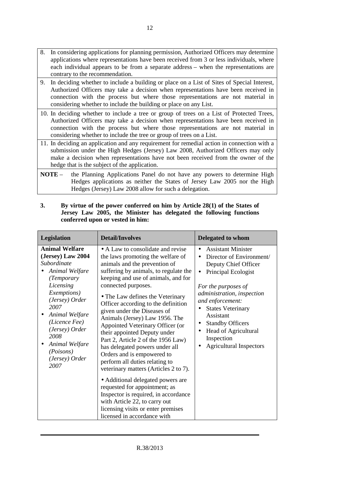- 8. In considering applications for planning permission, Authorized Officers may determine applications where representations have been received from 3 or less individuals, where each individual appears to be from a separate address – when the representations are contrary to the recommendation.
- 9. In deciding whether to include a building or place on a List of Sites of Special Interest, Authorized Officers may take a decision when representations have been received in connection with the process but where those representations are not material in considering whether to include the building or place on any List.
- 10. In deciding whether to include a tree or group of trees on a List of Protected Trees, Authorized Officers may take a decision when representations have been received in connection with the process but where those representations are not material in considering whether to include the tree or group of trees on a List.
- 11. In deciding an application and any requirement for remedial action in connection with a submission under the High Hedges (Jersey) Law 2008, Authorized Officers may only make a decision when representations have not been received from the owner of the hedge that is the subject of the application.
- **NOTE** the Planning Applications Panel do not have any powers to determine High Hedges applications as neither the States of Jersey Law 2005 nor the High Hedges (Jersey) Law 2008 allow for such a delegation.

| <b>Legislation</b>                                                                                                                                                                                                                                                                         | <b>Detail/Involves</b>                                                                                                                                                                                                                                                                                                                                                                                                                                                                                                                                                                                                                                                                                                                                                                               | <b>Delegated to whom</b>                                                                                                                                                                                                                                                                                                               |
|--------------------------------------------------------------------------------------------------------------------------------------------------------------------------------------------------------------------------------------------------------------------------------------------|------------------------------------------------------------------------------------------------------------------------------------------------------------------------------------------------------------------------------------------------------------------------------------------------------------------------------------------------------------------------------------------------------------------------------------------------------------------------------------------------------------------------------------------------------------------------------------------------------------------------------------------------------------------------------------------------------------------------------------------------------------------------------------------------------|----------------------------------------------------------------------------------------------------------------------------------------------------------------------------------------------------------------------------------------------------------------------------------------------------------------------------------------|
| <b>Animal Welfare</b><br>(Jersey) Law 2004<br>Subordinate<br>Animal Welfare<br>(Temporary<br>Licensing<br><i>Exemptions</i> )<br>(Jersey) Order<br>2007<br>Animal Welfare<br>$\bullet$<br>(Licence Fee)<br>(Jersey) Order<br>2008<br>Animal Welfare<br>(Poisons)<br>(Jersey) Order<br>2007 | • A Law to consolidate and revise<br>the laws promoting the welfare of<br>animals and the prevention of<br>suffering by animals, to regulate the<br>keeping and use of animals, and for<br>connected purposes.<br>• The Law defines the Veterinary<br>Officer according to the definition<br>given under the Diseases of<br>Animals (Jersey) Law 1956. The<br>Appointed Veterinary Officer (or<br>their appointed Deputy under<br>Part 2, Article 2 of the 1956 Law)<br>has delegated powers under all<br>Orders and is empowered to<br>perform all duties relating to<br>veterinary matters (Articles 2 to 7).<br>• Additional delegated powers are<br>requested for appointment; as<br>Inspector is required, in accordance<br>with Article 22, to carry out<br>licensing visits or enter premises | <b>Assistant Minister</b><br>$\bullet$<br>Director of Environment/<br>Deputy Chief Officer<br>Principal Ecologist<br>For the purposes of<br>administration, inspection<br>and enforcement:<br><b>States Veterinary</b><br>Assistant<br><b>Standby Officers</b><br>Head of Agricultural<br>Inspection<br><b>Agricultural Inspectors</b> |
|                                                                                                                                                                                                                                                                                            | licensed in accordance with                                                                                                                                                                                                                                                                                                                                                                                                                                                                                                                                                                                                                                                                                                                                                                          |                                                                                                                                                                                                                                                                                                                                        |

**3. By virtue of the power conferred on him by Article 28(1) of the States of Jersey Law 2005, the Minister has delegated the following functions conferred upon or vested in him:**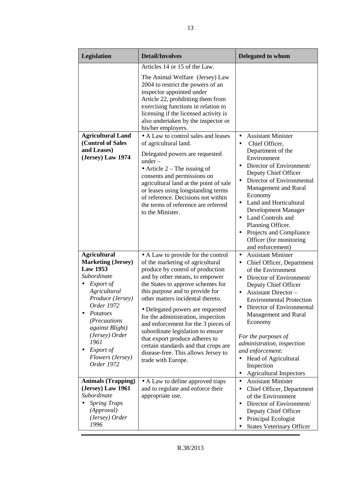| Legislation                                                                                                                                                                                                                                                               | <b>Detail/Involves</b>                                                                                                                                                                                                                                                                                                                                                                                                                                                                                                                                 | <b>Delegated to whom</b>                                                                                                                                                                                                                                                                                                                                                                                                                                                             |
|---------------------------------------------------------------------------------------------------------------------------------------------------------------------------------------------------------------------------------------------------------------------------|--------------------------------------------------------------------------------------------------------------------------------------------------------------------------------------------------------------------------------------------------------------------------------------------------------------------------------------------------------------------------------------------------------------------------------------------------------------------------------------------------------------------------------------------------------|--------------------------------------------------------------------------------------------------------------------------------------------------------------------------------------------------------------------------------------------------------------------------------------------------------------------------------------------------------------------------------------------------------------------------------------------------------------------------------------|
|                                                                                                                                                                                                                                                                           | Articles 14 or 15 of the Law.<br>The Animal Welfare (Jersey) Law<br>2004 to restrict the powers of an<br>inspector appointed under<br>Article 22, prohibiting them from<br>exercising functions in relation to<br>licensing if the licensed activity is<br>also undertaken by the inspector or<br>his/her employers.                                                                                                                                                                                                                                   |                                                                                                                                                                                                                                                                                                                                                                                                                                                                                      |
| <b>Agricultural Land</b><br>(Control of Sales<br>and Leases)<br>(Jersey) Law 1974                                                                                                                                                                                         | • A Law to control sales and leases<br>of agricultural land.<br>Delegated powers are requested<br>$under -$<br>• Article $2$ – The issuing of<br>consents and permissions on<br>agricultural land at the point of sale<br>or leases using longstanding terms<br>of reference. Decisions not within<br>the terms of reference are referred<br>to the Minister.                                                                                                                                                                                          | <b>Assistant Minister</b><br>$\bullet$<br>Chief Officer,<br>$\bullet$<br>Department of the<br>Environment<br>Director of Environment/<br>Deputy Chief Officer<br>Director of Environmental<br>$\bullet$<br>Management and Rural<br>Economy<br>Land and Horticultural<br>Development Manager<br>Land Controls and<br>$\bullet$<br>Planning Officer.<br>Projects and Compliance<br>$\bullet$<br>Officer (for monitoring<br>and enforcement)                                            |
| <b>Agricultural</b><br><b>Marketing (Jersey)</b><br><b>Law 1953</b><br>Subordinate<br>Export of<br>Agricultural<br>Produce (Jersey)<br>Order 1972<br>Potatoes<br>(Precautions<br>against Blight)<br>(Jersey) Order<br>1961<br>Export of<br>Flowers (Jersey)<br>Order 1972 | • A Law to provide for the control<br>of the marketing of agricultural<br>produce by control of production<br>and by other means, to empower<br>the States to approve schemes for<br>this purpose and to provide for<br>other matters incidental thereto.<br>• Delegated powers are requested<br>for the administration, inspection<br>and enforcement for the 3 pieces of<br>subordinate legislation to ensure<br>that export produce adheres to<br>certain standards and that crops are<br>disease-free. This allows Jersey to<br>trade with Europe. | <b>Assistant Minister</b><br>$\bullet$<br>Chief Officer, Department<br>$\bullet$<br>of the Environment<br>Director of Environment/<br>$\bullet$<br>Deputy Chief Officer<br><b>Assistant Director -</b><br><b>Environmental Protection</b><br>Director of Environmental<br>Management and Rural<br>Economy<br>For the purposes of<br>administration, inspection<br>and enforcement:<br>Head of Agricultural<br>$\bullet$<br>Inspection<br><b>Agricultural Inspectors</b><br>$\bullet$ |
| <b>Animals (Trapping)</b><br>(Jersey) Law 1961<br>Subordinate<br><b>Spring Traps</b><br>(Approval)<br>(Jersey) Order<br>1996                                                                                                                                              | • A Law to define approved traps<br>and to regulate and enforce their<br>appropriate use.                                                                                                                                                                                                                                                                                                                                                                                                                                                              | <b>Assistant Minister</b><br>$\bullet$<br>Chief Officer, Department<br>$\bullet$<br>of the Environment<br>Director of Environment/<br>$\bullet$<br>Deputy Chief Officer<br>Principal Ecologist<br><b>States Veterinary Officer</b>                                                                                                                                                                                                                                                   |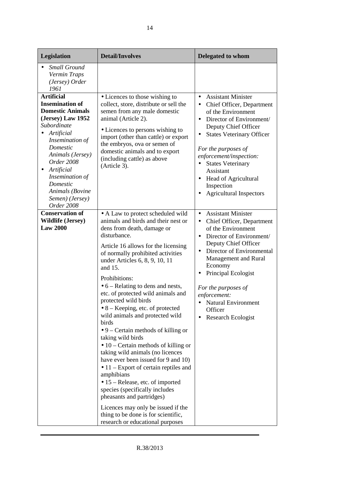| Legislation                                                                                                                                                                                                                                                                                             | <b>Detail/Involves</b>                                                                                                                                                                                                                                                                                                                                                                                                                                                                                                                                                                                                                                                                                                                                                                                                                                                                                                                                | Delegated to whom                                                                                                                                                                                                                                                                                                                                                                                                 |
|---------------------------------------------------------------------------------------------------------------------------------------------------------------------------------------------------------------------------------------------------------------------------------------------------------|-------------------------------------------------------------------------------------------------------------------------------------------------------------------------------------------------------------------------------------------------------------------------------------------------------------------------------------------------------------------------------------------------------------------------------------------------------------------------------------------------------------------------------------------------------------------------------------------------------------------------------------------------------------------------------------------------------------------------------------------------------------------------------------------------------------------------------------------------------------------------------------------------------------------------------------------------------|-------------------------------------------------------------------------------------------------------------------------------------------------------------------------------------------------------------------------------------------------------------------------------------------------------------------------------------------------------------------------------------------------------------------|
| <b>Small Ground</b><br>Vermin Traps<br>(Jersey) Order<br>1961                                                                                                                                                                                                                                           |                                                                                                                                                                                                                                                                                                                                                                                                                                                                                                                                                                                                                                                                                                                                                                                                                                                                                                                                                       |                                                                                                                                                                                                                                                                                                                                                                                                                   |
| <b>Artificial</b><br><b>Insemination of</b><br><b>Domestic Animals</b><br>(Jersey) Law 1952<br>Subordinate<br>Artificial<br>Insemination of<br>Domestic<br>Animals (Jersey)<br>Order 2008<br>Artificial<br>$\bullet$<br>Insemination of<br>Domestic<br>Animals (Bovine<br>Semen) (Jersey)<br>Order 2008 | • Licences to those wishing to<br>collect, store, distribute or sell the<br>semen from any male domestic<br>animal (Article 2).<br>• Licences to persons wishing to<br>import (other than cattle) or export<br>the embryos, ova or semen of<br>domestic animals and to export<br>(including cattle) as above<br>(Article 3).                                                                                                                                                                                                                                                                                                                                                                                                                                                                                                                                                                                                                          | <b>Assistant Minister</b><br>$\bullet$<br>• Chief Officer, Department<br>of the Environment<br>Director of Environment/<br>$\bullet$<br>Deputy Chief Officer<br><b>States Veterinary Officer</b><br>$\bullet$<br>For the purposes of<br>enforcement/inspection:<br><b>States Veterinary</b><br>Assistant<br><b>Head of Agricultural</b><br>$\bullet$<br>Inspection<br><b>Agricultural Inspectors</b><br>$\bullet$ |
| <b>Conservation of</b><br><b>Wildlife (Jersey)</b><br><b>Law 2000</b>                                                                                                                                                                                                                                   | • A Law to protect scheduled wild<br>animals and birds and their nest or<br>dens from death, damage or<br>disturbance.<br>Article 16 allows for the licensing<br>of normally prohibited activities<br>under Articles 6, 8, 9, 10, 11<br>and 15.<br>Prohibitions:<br>$\bullet$ 6 – Relating to dens and nests,<br>etc. of protected wild animals and<br>protected wild birds<br>$\bullet$ 8 – Keeping, etc. of protected<br>wild animals and protected wild<br>birds<br>$\bullet$ 9 – Certain methods of killing or<br>taking wild birds<br>$\bullet$ 10 – Certain methods of killing or<br>taking wild animals (no licences<br>have ever been issued for 9 and 10)<br>$\bullet$ 11 – Export of certain reptiles and<br>amphibians<br>• 15 – Release, etc. of imported<br>species (specifically includes<br>pheasants and partridges)<br>Licences may only be issued if the<br>thing to be done is for scientific,<br>research or educational purposes | <b>Assistant Minister</b><br>$\bullet$<br>Chief Officer, Department<br>$\bullet$<br>of the Environment<br>Director of Environment/<br>$\bullet$<br>Deputy Chief Officer<br>Director of Environmental<br>$\bullet$<br>Management and Rural<br>Economy<br>Principal Ecologist<br>For the purposes of<br>enforcement:<br>• Natural Environment<br>Officer<br>Research Ecologist                                      |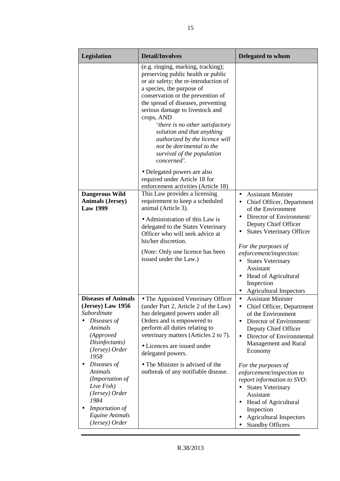| Legislation                                                                                                                                       | <b>Detail/Involves</b>                                                                                                                                                                                                                                                                                                                                                                                                                                  | <b>Delegated to whom</b>                                                                                                                                                                                                                                                                                          |
|---------------------------------------------------------------------------------------------------------------------------------------------------|---------------------------------------------------------------------------------------------------------------------------------------------------------------------------------------------------------------------------------------------------------------------------------------------------------------------------------------------------------------------------------------------------------------------------------------------------------|-------------------------------------------------------------------------------------------------------------------------------------------------------------------------------------------------------------------------------------------------------------------------------------------------------------------|
|                                                                                                                                                   | (e.g. ringing, marking, tracking);<br>preserving public health or public<br>or air safety; the re-introduction of<br>a species, the purpose of<br>conservation or the prevention of<br>the spread of diseases, preventing<br>serious damage to livestock and<br>crops, AND<br>'there is no other satisfactory<br>solution and that anything<br>authorized by the licence will<br>not be detrimental to the<br>survival of the population<br>concerned'. |                                                                                                                                                                                                                                                                                                                   |
|                                                                                                                                                   | • Delegated powers are also<br>required under Article 18 for<br>enforcement activities (Article 18)                                                                                                                                                                                                                                                                                                                                                     |                                                                                                                                                                                                                                                                                                                   |
| <b>Dangerous Wild</b><br><b>Animals (Jersey)</b><br><b>Law 1999</b>                                                                               | This Law provides a licensing<br>requirement to keep a scheduled<br>animal (Article 3).<br>• Administration of this Law is<br>delegated to the States Veterinary<br>Officer who will seek advice at<br>his/her discretion.<br>( <i>Note:</i> Only one licence has been<br>issued under the Law.)                                                                                                                                                        | <b>Assistant Minister</b><br>$\bullet$<br>Chief Officer, Department<br>of the Environment<br>Director of Environment/<br>Deputy Chief Officer<br><b>States Veterinary Officer</b><br>For the purposes of<br>enforcement/inspection:<br><b>States Veterinary</b><br>$\bullet$<br>Assistant<br>Head of Agricultural |
|                                                                                                                                                   |                                                                                                                                                                                                                                                                                                                                                                                                                                                         | Inspection<br><b>Agricultural Inspectors</b>                                                                                                                                                                                                                                                                      |
| <b>Diseases of Animals</b><br>(Jersey) Law 1956<br>Subordinate<br>Diseases of<br>Animals<br>(Approved<br>Disinfectants)<br>(Jersey) Order<br>1958 | • The Appointed Veterinary Officer<br>(under Part 2, Article 2 of the Law)<br>has delegated powers under all<br>Orders and is empowered to<br>perform all duties relating to<br>veterinary matters (Articles 2 to 7).<br>• Licences are issued under<br>delegated powers.                                                                                                                                                                               | <b>Assistant Minister</b><br>$\bullet$<br>Chief Officer, Department<br>٠<br>of the Environment<br>Director of Environment/<br>$\bullet$<br>Deputy Chief Officer<br>Director of Environmental<br>$\bullet$<br>Management and Rural<br>Economy                                                                      |
| Diseases of<br>Animals<br>(Importation of<br>Live Fish)<br>(Jersey) Order<br>1984<br>Importation of<br>Equine Animals<br>(Jersey) Order           | • The Minister is advised of the<br>outbreak of any notifiable disease.                                                                                                                                                                                                                                                                                                                                                                                 | For the purposes of<br>enforcement/inspection to<br>report information to SVO:<br><b>States Veterinary</b><br>Assistant<br>Head of Agricultural<br>$\bullet$<br>Inspection<br><b>Agricultural Inspectors</b><br><b>Standby Officers</b>                                                                           |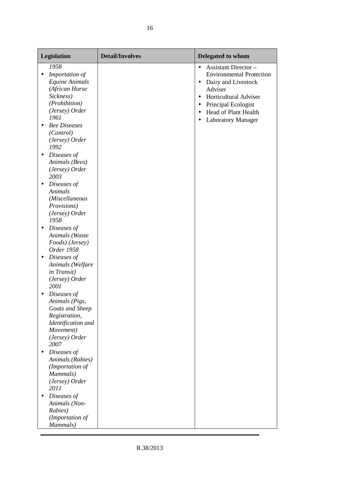| Legislation                                                                                                                                                                                                                                                        | <b>Detail/Involves</b> | Delegated to whom                                                                                                                                                                                                                                                                          |
|--------------------------------------------------------------------------------------------------------------------------------------------------------------------------------------------------------------------------------------------------------------------|------------------------|--------------------------------------------------------------------------------------------------------------------------------------------------------------------------------------------------------------------------------------------------------------------------------------------|
| 1958<br>Importation of<br>٠<br>Equine Animals<br>(African Horse<br>Sickness)<br>(Prohibition)<br>(Jersey) Order<br>1961<br><b>Bee Diseases</b><br>$\bullet$<br>(Control)<br>(Jersey) Order<br>1992<br>Diseases of<br>$\bullet$<br>Animals (Bees)<br>(Jersey) Order |                        | <b>Assistant Director -</b><br>$\bullet$<br><b>Environmental Protection</b><br>Dairy and Livestock<br>$\bullet$<br>Adviser<br><b>Horticultural Adviser</b><br>$\bullet$<br>Principal Ecologist<br>$\bullet$<br>Head of Plant Health<br>$\bullet$<br><b>Laboratory Manager</b><br>$\bullet$ |
| 2003<br>Diseases of<br>$\bullet$<br>Animals<br>(Miscellaneous<br>Provisions)<br>(Jersey) Order<br>1958                                                                                                                                                             |                        |                                                                                                                                                                                                                                                                                            |
| Diseases of<br>$\bullet$<br>Animals (Waste<br>Foods) (Jersey)<br>Order 1958<br>Diseases of<br>$\bullet$<br>Animals (Welfare<br>in Transit)<br>(Jersey) Order<br>2001                                                                                               |                        |                                                                                                                                                                                                                                                                                            |
| Diseases of<br>Animals (Pigs,<br>Goats and Sheep<br>Registration,<br>Identification and<br>Movement)<br>(Jersey) Order<br>2007                                                                                                                                     |                        |                                                                                                                                                                                                                                                                                            |
| Diseases of<br>$\bullet$<br>Animals (Rabies)<br>(Importation of<br>Mammals)<br>(Jersey) Order<br>2011                                                                                                                                                              |                        |                                                                                                                                                                                                                                                                                            |
| Diseases of<br>$\bullet$<br>Animals (Non-<br>Rabies)<br>(Importation of<br>Mammals)                                                                                                                                                                                |                        |                                                                                                                                                                                                                                                                                            |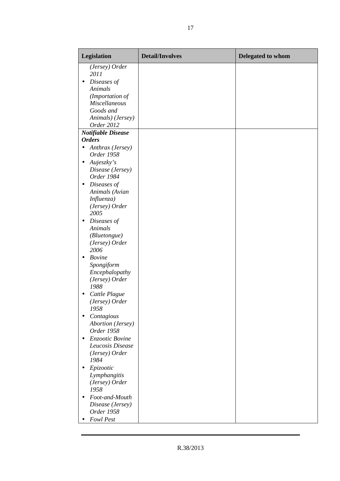| Legislation                                 | <b>Detail/Involves</b> | Delegated to whom |
|---------------------------------------------|------------------------|-------------------|
| (Jersey) Order                              |                        |                   |
| 2011                                        |                        |                   |
| Diseases of<br>$\bullet$                    |                        |                   |
| Animals                                     |                        |                   |
| (Importation of                             |                        |                   |
| <b>Miscellaneous</b>                        |                        |                   |
| Goods and                                   |                        |                   |
| Animals) (Jersey)<br>Order 2012             |                        |                   |
|                                             |                        |                   |
| <b>Notifiable Disease</b><br><b>Orders</b>  |                        |                   |
| $\bullet$                                   |                        |                   |
| Anthrax (Jersey)<br>Order 1958              |                        |                   |
|                                             |                        |                   |
| Aujeszky's<br>$\bullet$<br>Disease (Jersey) |                        |                   |
| Order 1984                                  |                        |                   |
| Diseases of<br>$\bullet$                    |                        |                   |
| Animals (Avian                              |                        |                   |
| Influenza)                                  |                        |                   |
| (Jersey) Order                              |                        |                   |
| 2005                                        |                        |                   |
| Diseases of<br>$\bullet$                    |                        |                   |
| Animals                                     |                        |                   |
| <i>(Bluetongue)</i>                         |                        |                   |
| (Jersey) Order                              |                        |                   |
| 2006                                        |                        |                   |
| <b>Bovine</b><br>$\bullet$                  |                        |                   |
| Spongiform                                  |                        |                   |
| Encephalopathy                              |                        |                   |
| (Jersey) Order                              |                        |                   |
| 1988                                        |                        |                   |
| Cattle Plague<br>٠                          |                        |                   |
| (Jersey) Order                              |                        |                   |
| 1958                                        |                        |                   |
| Contagious                                  |                        |                   |
| <b>Abortion</b> (Jersey)                    |                        |                   |
| Order 1958                                  |                        |                   |
| Enzootic Bovine                             |                        |                   |
| Leucosis Disease                            |                        |                   |
| (Jersey) Order                              |                        |                   |
| 1984                                        |                        |                   |
| Epizootic<br>٠                              |                        |                   |
| Lymphangitis                                |                        |                   |
| (Jersey) Order                              |                        |                   |
| 1958                                        |                        |                   |
| Foot-and-Mouth<br>$\bullet$                 |                        |                   |
| Disease (Jersey)                            |                        |                   |
| Order 1958                                  |                        |                   |
| <b>Fowl Pest</b>                            |                        |                   |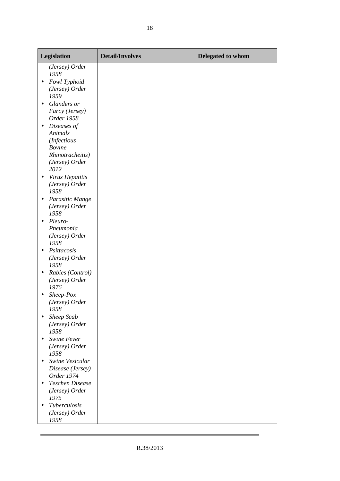| Legislation                                                    | <b>Detail/Involves</b> | Delegated to whom |
|----------------------------------------------------------------|------------------------|-------------------|
| (Jersey) Order<br>1958                                         |                        |                   |
| Fowl Typhoid<br>$\bullet$<br>(Jersey) Order<br>1959            |                        |                   |
| Glanders or<br>$\bullet$<br>Farcy (Jersey)<br>Order 1958       |                        |                   |
| Diseases of<br>$\bullet$<br>Animals<br>(Infectious             |                        |                   |
| <b>Bovine</b><br>Rhinotracheitis)                              |                        |                   |
| (Jersey) Order<br>2012<br>Virus Hepatitis                      |                        |                   |
| (Jersey) Order<br>1958                                         |                        |                   |
| Parasitic Mange<br>$\bullet$<br>(Jersey) Order<br>1958         |                        |                   |
| Pleuro-<br>$\bullet$<br>Pneumonia<br>(Jersey) Order<br>1958    |                        |                   |
| Psittacosis<br>$\bullet$<br>(Jersey) Order<br>1958             |                        |                   |
| Rabies (Control)<br>$\bullet$<br>(Jersey) Order<br>1976        |                        |                   |
| Sheep-Pox<br>(Jersey) Order<br>1958                            |                        |                   |
| Sheep Scab<br>$\bullet$<br>(Jersey) Order<br>1958              |                        |                   |
| Swine Fever<br>$\bullet$<br>(Jersey) Order<br>1958             |                        |                   |
| Swine Vesicular<br>$\bullet$<br>Disease (Jersey)<br>Order 1974 |                        |                   |
| <b>Teschen Disease</b><br>$\bullet$<br>(Jersey) Order<br>1975  |                        |                   |
| Tuberculosis<br>$\bullet$<br>(Jersey) Order<br>1958            |                        |                   |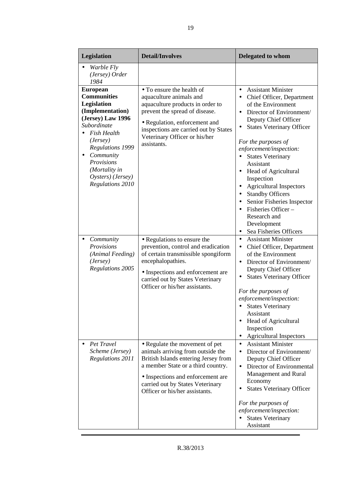| Legislation                                                                                                                                                                                                                                                    | <b>Detail/Involves</b>                                                                                                                                                                                                                                       | Delegated to whom                                                                                                                                                                                                                                                                                                                                                                                                                                                                                                                                 |
|----------------------------------------------------------------------------------------------------------------------------------------------------------------------------------------------------------------------------------------------------------------|--------------------------------------------------------------------------------------------------------------------------------------------------------------------------------------------------------------------------------------------------------------|---------------------------------------------------------------------------------------------------------------------------------------------------------------------------------------------------------------------------------------------------------------------------------------------------------------------------------------------------------------------------------------------------------------------------------------------------------------------------------------------------------------------------------------------------|
| <i>Warble Fly</i><br>(Jersey) Order<br>1984                                                                                                                                                                                                                    |                                                                                                                                                                                                                                                              |                                                                                                                                                                                                                                                                                                                                                                                                                                                                                                                                                   |
| <b>European</b><br><b>Communities</b><br>Legislation<br>(Implementation)<br>(Jersey) Law 1996<br>Subordinate<br><b>Fish Health</b><br>(Jersey)<br><b>Regulations 1999</b><br>Community<br>Provisions<br>(Mortality in<br>Oysters) (Jersey)<br>Regulations 2010 | • To ensure the health of<br>aquaculture animals and<br>aquaculture products in order to<br>prevent the spread of disease.<br>• Regulation, enforcement and<br>inspections are carried out by States<br>Veterinary Officer or his/her<br>assistants.         | <b>Assistant Minister</b><br>$\bullet$<br>Chief Officer, Department<br>$\bullet$<br>of the Environment<br>Director of Environment/<br>Deputy Chief Officer<br><b>States Veterinary Officer</b><br>For the purposes of<br>enforcement/inspection:<br><b>States Veterinary</b><br>$\bullet$<br>Assistant<br>Head of Agricultural<br>$\bullet$<br>Inspection<br><b>Agricultural Inspectors</b><br><b>Standby Officers</b><br>Senior Fisheries Inspector<br>Fisheries Officer –<br>Research and<br>Development<br>Sea Fisheries Officers<br>$\bullet$ |
| Community<br>Provisions<br>(Animal Feeding)<br>(Jersey)<br>Regulations 2005                                                                                                                                                                                    | • Regulations to ensure the<br>prevention, control and eradication<br>of certain transmissible spongiform<br>encephalopathies.<br>• Inspections and enforcement are<br>carried out by States Veterinary<br>Officer or his/her assistants.                    | <b>Assistant Minister</b><br>$\bullet$<br>Chief Officer, Department<br>$\bullet$<br>of the Environment<br>Director of Environment/<br>$\bullet$<br>Deputy Chief Officer<br><b>States Veterinary Officer</b><br>$\bullet$<br>For the purposes of<br>enforcement/inspection:<br><b>States Veterinary</b><br>Assistant<br>• Head of Agricultural<br>Inspection<br><b>Agricultural Inspectors</b>                                                                                                                                                     |
| Pet Travel<br>Scheme (Jersey)<br>Regulations 2011                                                                                                                                                                                                              | • Regulate the movement of pet<br>animals arriving from outside the<br>British Islands entering Jersey from<br>a member State or a third country.<br>• Inspections and enforcement are<br>carried out by States Veterinary<br>Officer or his/her assistants. | <b>Assistant Minister</b><br>$\bullet$<br>Director of Environment/<br>$\bullet$<br>Deputy Chief Officer<br>Director of Environmental<br>Management and Rural<br>Economy<br><b>States Veterinary Officer</b><br>For the purposes of<br>enforcement/inspection:<br><b>States Veterinary</b><br>Assistant                                                                                                                                                                                                                                            |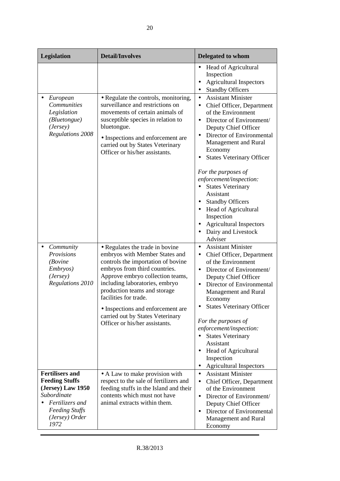| Legislation                                                                                                                                               | <b>Detail/Involves</b>                                                                                                                                                                                                                                                                                                                                                             | Delegated to whom                                                                                                                                                                                                                                                                                                                                                                                                                                                                                                                                           |
|-----------------------------------------------------------------------------------------------------------------------------------------------------------|------------------------------------------------------------------------------------------------------------------------------------------------------------------------------------------------------------------------------------------------------------------------------------------------------------------------------------------------------------------------------------|-------------------------------------------------------------------------------------------------------------------------------------------------------------------------------------------------------------------------------------------------------------------------------------------------------------------------------------------------------------------------------------------------------------------------------------------------------------------------------------------------------------------------------------------------------------|
|                                                                                                                                                           |                                                                                                                                                                                                                                                                                                                                                                                    | Head of Agricultural<br>$\bullet$<br>Inspection<br><b>Agricultural Inspectors</b><br><b>Standby Officers</b><br>$\bullet$                                                                                                                                                                                                                                                                                                                                                                                                                                   |
| European<br><b>Communities</b><br>Legislation<br>(Bluetongue)<br>(Jersey)<br><b>Regulations 2008</b>                                                      | • Regulate the controls, monitoring,<br>surveillance and restrictions on<br>movements of certain animals of<br>susceptible species in relation to<br>bluetongue.<br>• Inspections and enforcement are<br>carried out by States Veterinary<br>Officer or his/her assistants.                                                                                                        | <b>Assistant Minister</b><br>$\bullet$<br>Chief Officer, Department<br>$\bullet$<br>of the Environment<br>Director of Environment/<br>$\bullet$<br>Deputy Chief Officer<br>Director of Environmental<br>Management and Rural<br>Economy<br><b>States Veterinary Officer</b><br>For the purposes of<br>enforcement/inspection:<br><b>States Veterinary</b><br>$\bullet$<br><b>Assistant</b><br>• Standby Officers<br><b>Head of Agricultural</b><br>Inspection<br><b>Agricultural Inspectors</b><br>$\bullet$<br>Dairy and Livestock<br>$\bullet$<br>Adviser |
| Community<br>Provisions<br><i>(Bovine</i> )<br>Embryos)<br>(Jersey)<br>Regulations 2010                                                                   | • Regulates the trade in bovine<br>embryos with Member States and<br>controls the importation of bovine<br>embryos from third countries.<br>Approve embryo collection teams,<br>including laboratories, embryo<br>production teams and storage<br>facilities for trade.<br>• Inspections and enforcement are<br>carried out by States Veterinary<br>Officer or his/her assistants. | <b>Assistant Minister</b><br>$\bullet$<br>Chief Officer, Department<br>$\bullet$<br>of the Environment<br>Director of Environment/<br>$\bullet$<br>Deputy Chief Officer<br>Director of Environmental<br>$\bullet$<br>Management and Rural<br>Economy<br><b>States Veterinary Officer</b><br>For the purposes of<br>enforcement/inspection:<br><b>States Veterinary</b><br>$\bullet$<br>Assistant<br>Head of Agricultural<br>Inspection<br><b>Agricultural Inspectors</b><br>$\bullet$                                                                       |
| <b>Fertilisers and</b><br><b>Feeding Stuffs</b><br>(Jersey) Law 1950<br>Subordinate<br>Fertilizers and<br><b>Feeding Stuffs</b><br>(Jersey) Order<br>1972 | • A Law to make provision with<br>respect to the sale of fertilizers and<br>feeding stuffs in the Island and their<br>contents which must not have<br>animal extracts within them.                                                                                                                                                                                                 | <b>Assistant Minister</b><br>$\bullet$<br>Chief Officer, Department<br>$\bullet$<br>of the Environment<br>Director of Environment/<br>$\bullet$<br>Deputy Chief Officer<br>Director of Environmental<br>$\bullet$<br>Management and Rural<br>Economy                                                                                                                                                                                                                                                                                                        |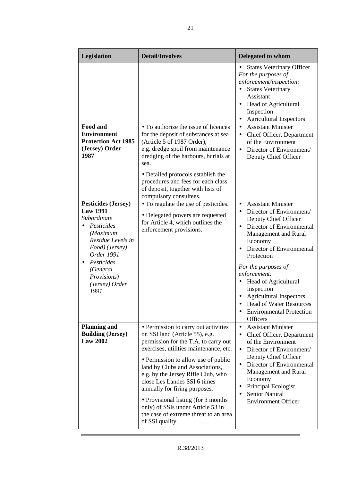| Legislation                                                                                                                                                                                                    | <b>Detail/Involves</b>                                                                                                                                                                                                                                                                                                                                                                                                                                                             | Delegated to whom                                                                                                                                                                                                                                                                                                                                                                                                                            |
|----------------------------------------------------------------------------------------------------------------------------------------------------------------------------------------------------------------|------------------------------------------------------------------------------------------------------------------------------------------------------------------------------------------------------------------------------------------------------------------------------------------------------------------------------------------------------------------------------------------------------------------------------------------------------------------------------------|----------------------------------------------------------------------------------------------------------------------------------------------------------------------------------------------------------------------------------------------------------------------------------------------------------------------------------------------------------------------------------------------------------------------------------------------|
| Food and<br><b>Environment</b>                                                                                                                                                                                 | • To authorize the issue of licences<br>for the deposit of substances at sea                                                                                                                                                                                                                                                                                                                                                                                                       | <b>States Veterinary Officer</b><br>For the purposes of<br>enforcement/inspection:<br><b>States Veterinary</b><br>$\bullet$<br>Assistant<br>Head of Agricultural<br>$\bullet$<br>Inspection<br><b>Agricultural Inspectors</b><br><b>Assistant Minister</b><br>$\bullet$<br>Chief Officer, Department<br>$\bullet$                                                                                                                            |
| <b>Protection Act 1985</b><br>(Jersey) Order<br>1987                                                                                                                                                           | (Article 5 of 1987 Order),<br>e.g. dredge spoil from maintenance<br>dredging of the harbours, burials at<br>sea.<br>• Detailed protocols establish the<br>procedures and fees for each class<br>of deposit, together with lists of<br>compulsory consultees.                                                                                                                                                                                                                       | of the Environment<br>Director of Environment/<br>$\bullet$<br>Deputy Chief Officer                                                                                                                                                                                                                                                                                                                                                          |
| <b>Pesticides (Jersey)</b><br><b>Law 1991</b><br>Subordinate<br>Pesticides<br>(Maximum<br>Residue Levels in<br>Food) (Jersey)<br>Order 1991<br>Pesticides<br>(General<br>Provisions)<br>(Jersey) Order<br>1991 | • To regulate the use of pesticides.<br>• Delegated powers are requested<br>for Article 4, which outlines the<br>enforcement provisions.                                                                                                                                                                                                                                                                                                                                           | <b>Assistant Minister</b><br>$\bullet$<br>Director of Environment/<br>Deputy Chief Officer<br>Director of Environmental<br>$\bullet$<br>Management and Rural<br>Economy<br>Director of Environmental<br>Protection<br>For the purposes of<br>enforcement:<br>Head of Agricultural<br>$\bullet$<br>Inspection<br><b>Agricultural Inspectors</b><br>$\bullet$<br><b>Head of Water Resources</b><br><b>Environmental Protection</b><br>Officers |
| <b>Planning and</b><br><b>Building (Jersey)</b><br><b>Law 2002</b>                                                                                                                                             | • Permission to carry out activities<br>on SSI land (Article 55), e.g.<br>permission for the T.A. to carry out<br>exercises, utilities maintenance, etc.<br>• Permission to allow use of public<br>land by Clubs and Associations,<br>e.g. by the Jersey Rifle Club, who<br>close Les Landes SSI 6 times<br>annually for firing purposes.<br>• Provisional listing (for 3 months)<br>only) of SSIs under Article 53 in<br>the case of extreme threat to an area<br>of SSI quality. | <b>Assistant Minister</b><br>$\bullet$<br>Chief Officer, Department<br>$\bullet$<br>of the Environment<br>Director of Environment/<br>$\bullet$<br>Deputy Chief Officer<br>Director of Environmental<br>$\bullet$<br>Management and Rural<br>Economy<br>Principal Ecologist<br><b>Senior Natural</b><br><b>Environment Officer</b>                                                                                                           |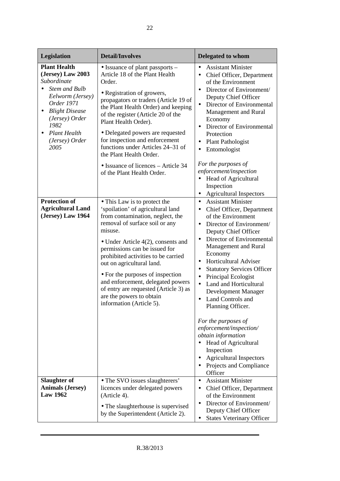| Legislation                                                                                                                                                                                                                                                                                          | <b>Detail/Involves</b>                                                                                                                                                                                                                                                                                                                                                                                                                                                                                                                                                                                                                                                                                                                                                                                                                                                                                                                           | Delegated to whom                                                                                                                                                                                                                                                                                                                                                                                                                                                                                                                                                                                                                                                                                                                                                                                                                                                                                                                                                                                                                                                                                               |
|------------------------------------------------------------------------------------------------------------------------------------------------------------------------------------------------------------------------------------------------------------------------------------------------------|--------------------------------------------------------------------------------------------------------------------------------------------------------------------------------------------------------------------------------------------------------------------------------------------------------------------------------------------------------------------------------------------------------------------------------------------------------------------------------------------------------------------------------------------------------------------------------------------------------------------------------------------------------------------------------------------------------------------------------------------------------------------------------------------------------------------------------------------------------------------------------------------------------------------------------------------------|-----------------------------------------------------------------------------------------------------------------------------------------------------------------------------------------------------------------------------------------------------------------------------------------------------------------------------------------------------------------------------------------------------------------------------------------------------------------------------------------------------------------------------------------------------------------------------------------------------------------------------------------------------------------------------------------------------------------------------------------------------------------------------------------------------------------------------------------------------------------------------------------------------------------------------------------------------------------------------------------------------------------------------------------------------------------------------------------------------------------|
| <b>Plant Health</b><br>(Jersey) Law 2003<br>Subordinate<br><b>Stem and Bulb</b><br>Eelworm (Jersey)<br>Order 1971<br><b>Blight Disease</b><br>$\bullet$<br>(Jersey) Order<br>1982<br><b>Plant Health</b><br>(Jersey) Order<br>2005<br>Protection of<br><b>Agricultural Land</b><br>(Jersey) Law 1964 | • Issuance of plant passports –<br>Article 18 of the Plant Health<br>Order.<br>• Registration of growers,<br>propagators or traders (Article 19 of<br>the Plant Health Order) and keeping<br>of the register (Article 20 of the<br>Plant Health Order).<br>• Delegated powers are requested<br>for inspection and enforcement<br>functions under Articles 24–31 of<br>the Plant Health Order.<br>• Issuance of licences – Article 34<br>of the Plant Health Order.<br>• This Law is to protect the<br>'spoilation' of agricultural land<br>from contamination, neglect, the<br>removal of surface soil or any<br>misuse.<br>• Under Article $4(2)$ , consents and<br>permissions can be issued for<br>prohibited activities to be carried<br>out on agricultural land.<br>• For the purposes of inspection<br>and enforcement, delegated powers<br>of entry are requested (Article 3) as<br>are the powers to obtain<br>information (Article 5). | <b>Assistant Minister</b><br>$\bullet$<br>Chief Officer, Department<br>$\bullet$<br>of the Environment<br>Director of Environment/<br>$\bullet$<br>Deputy Chief Officer<br>Director of Environmental<br>$\bullet$<br>Management and Rural<br>Economy<br>Director of Environmental<br>$\bullet$<br>Protection<br>Plant Pathologist<br>$\bullet$<br>Entomologist<br>$\bullet$<br>For the purposes of<br>enforcement/inspection<br>Head of Agricultural<br>$\bullet$<br>Inspection<br><b>Agricultural Inspectors</b><br>$\bullet$<br><b>Assistant Minister</b><br>$\bullet$<br>Chief Officer, Department<br>$\bullet$<br>of the Environment<br>Director of Environment/<br>$\bullet$<br>Deputy Chief Officer<br>Director of Environmental<br>$\bullet$<br>Management and Rural<br>Economy<br>Horticultural Adviser<br>$\bullet$<br><b>Statutory Services Officer</b><br>$\bullet$<br>Principal Ecologist<br>$\bullet$<br>Land and Horticultural<br>$\bullet$<br>Development Manager<br>Land Controls and<br>$\bullet$<br>Planning Officer.<br>For the purposes of<br>enforcement/inspection/<br>obtain information |
|                                                                                                                                                                                                                                                                                                      |                                                                                                                                                                                                                                                                                                                                                                                                                                                                                                                                                                                                                                                                                                                                                                                                                                                                                                                                                  | Head of Agricultural<br>Inspection<br><b>Agricultural Inspectors</b><br>$\bullet$                                                                                                                                                                                                                                                                                                                                                                                                                                                                                                                                                                                                                                                                                                                                                                                                                                                                                                                                                                                                                               |
|                                                                                                                                                                                                                                                                                                      |                                                                                                                                                                                                                                                                                                                                                                                                                                                                                                                                                                                                                                                                                                                                                                                                                                                                                                                                                  | Projects and Compliance<br>$\bullet$<br>Officer                                                                                                                                                                                                                                                                                                                                                                                                                                                                                                                                                                                                                                                                                                                                                                                                                                                                                                                                                                                                                                                                 |
| Slaughter of<br><b>Animals (Jersey)</b><br><b>Law 1962</b>                                                                                                                                                                                                                                           | • The SVO issues slaughterers'<br>licences under delegated powers<br>(Article 4).                                                                                                                                                                                                                                                                                                                                                                                                                                                                                                                                                                                                                                                                                                                                                                                                                                                                | <b>Assistant Minister</b><br>$\bullet$<br>Chief Officer, Department<br>$\bullet$<br>of the Environment<br>Director of Environment/<br>$\bullet$                                                                                                                                                                                                                                                                                                                                                                                                                                                                                                                                                                                                                                                                                                                                                                                                                                                                                                                                                                 |
|                                                                                                                                                                                                                                                                                                      | • The slaughterhouse is supervised<br>by the Superintendent (Article 2).                                                                                                                                                                                                                                                                                                                                                                                                                                                                                                                                                                                                                                                                                                                                                                                                                                                                         | Deputy Chief Officer<br><b>States Veterinary Officer</b><br>٠                                                                                                                                                                                                                                                                                                                                                                                                                                                                                                                                                                                                                                                                                                                                                                                                                                                                                                                                                                                                                                                   |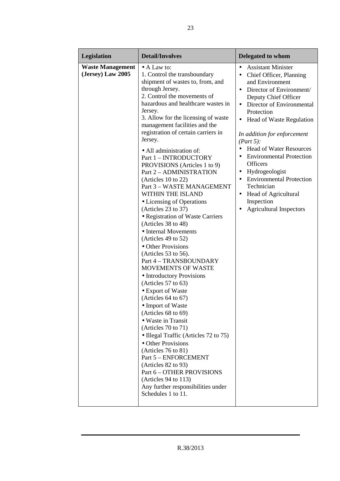| Legislation                                  | <b>Detail/Involves</b>                                                                                                                                                                                                                                                                                                                                                                                                                                                                                                                                                                                                                                                                                                                                                                                                                                                                                                                                                                                                                                                                                                                                                                                                                         | Delegated to whom                                                                                                                                                                                                                                                                                                                                                                                                                                                                                                                                                                                                   |
|----------------------------------------------|------------------------------------------------------------------------------------------------------------------------------------------------------------------------------------------------------------------------------------------------------------------------------------------------------------------------------------------------------------------------------------------------------------------------------------------------------------------------------------------------------------------------------------------------------------------------------------------------------------------------------------------------------------------------------------------------------------------------------------------------------------------------------------------------------------------------------------------------------------------------------------------------------------------------------------------------------------------------------------------------------------------------------------------------------------------------------------------------------------------------------------------------------------------------------------------------------------------------------------------------|---------------------------------------------------------------------------------------------------------------------------------------------------------------------------------------------------------------------------------------------------------------------------------------------------------------------------------------------------------------------------------------------------------------------------------------------------------------------------------------------------------------------------------------------------------------------------------------------------------------------|
| <b>Waste Management</b><br>(Jersey) Law 2005 | $\bullet$ A Law to:<br>1. Control the transboundary<br>shipment of wastes to, from, and<br>through Jersey.<br>2. Control the movements of<br>hazardous and healthcare wastes in<br>Jersey.<br>3. Allow for the licensing of waste<br>management facilities and the<br>registration of certain carriers in<br>Jersey.<br>• All administration of:<br>Part 1 - INTRODUCTORY<br>PROVISIONS (Articles 1 to 9)<br>Part 2 - ADMINISTRATION<br>(Articles $10$ to $22$ )<br>Part 3 - WASTE MANAGEMENT<br>WITHIN THE ISLAND<br>• Licensing of Operations<br>(Articles 23 to 37)<br>• Registration of Waste Carriers<br>(Articles 38 to 48)<br>• Internal Movements<br>(Articles 49 to 52)<br>• Other Provisions<br>(Articles 53 to 56).<br>Part 4 - TRANSBOUNDARY<br><b>MOVEMENTS OF WASTE</b><br>• Introductory Provisions<br>(Articles 57 to 63)<br>• Export of Waste<br>(Articles 64 to 67)<br>Import of Waste<br>(Articles $68$ to $69$ )<br>• Waste in Transit<br>(Articles 70 to 71)<br>• Illegal Traffic (Articles 72 to 75)<br>• Other Provisions<br>(Articles $76$ to $81$ )<br>Part 5 - ENFORCEMENT<br>(Articles 82 to 93)<br>Part 6 - OTHER PROVISIONS<br>(Articles $94$ to 113)<br>Any further responsibilities under<br>Schedules 1 to 11. | <b>Assistant Minister</b><br>$\bullet$<br>Chief Officer, Planning<br>$\bullet$<br>and Environment<br>Director of Environment/<br>$\bullet$<br>Deputy Chief Officer<br>Director of Environmental<br>$\bullet$<br>Protection<br>Head of Waste Regulation<br>$\bullet$<br>In addition for enforcement<br>(Part 5):<br><b>Head of Water Resources</b><br><b>Environmental Protection</b><br>$\bullet$<br><b>Officers</b><br>Hydrogeologist<br>$\bullet$<br><b>Environmental Protection</b><br>$\bullet$<br>Technician<br>Head of Agricultural<br>$\bullet$<br>Inspection<br><b>Agricultural Inspectors</b><br>$\bullet$ |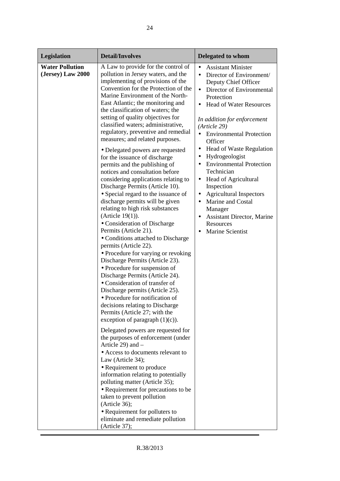| Legislation                                 | <b>Detail/Involves</b>                                                                                                                                                                                                                                                                                                                                                                                                                                                                                                                                                                                                                                                                                                                                                                                                                                                                                                                                                                                                                                                                                                                                                                                                                                                                                                                                                                                                                                                                                                                                                                                                                                                                                                      | <b>Delegated to whom</b>                                                                                                                                                                                                                                                                                                                                                                                                                                                                                                                                                                                                                    |
|---------------------------------------------|-----------------------------------------------------------------------------------------------------------------------------------------------------------------------------------------------------------------------------------------------------------------------------------------------------------------------------------------------------------------------------------------------------------------------------------------------------------------------------------------------------------------------------------------------------------------------------------------------------------------------------------------------------------------------------------------------------------------------------------------------------------------------------------------------------------------------------------------------------------------------------------------------------------------------------------------------------------------------------------------------------------------------------------------------------------------------------------------------------------------------------------------------------------------------------------------------------------------------------------------------------------------------------------------------------------------------------------------------------------------------------------------------------------------------------------------------------------------------------------------------------------------------------------------------------------------------------------------------------------------------------------------------------------------------------------------------------------------------------|---------------------------------------------------------------------------------------------------------------------------------------------------------------------------------------------------------------------------------------------------------------------------------------------------------------------------------------------------------------------------------------------------------------------------------------------------------------------------------------------------------------------------------------------------------------------------------------------------------------------------------------------|
| <b>Water Pollution</b><br>(Jersey) Law 2000 | A Law to provide for the control of<br>pollution in Jersey waters, and the<br>implementing of provisions of the<br>Convention for the Protection of the<br>Marine Environment of the North-<br>East Atlantic; the monitoring and<br>the classification of waters; the<br>setting of quality objectives for<br>classified waters; administrative,<br>regulatory, preventive and remedial<br>measures; and related purposes.<br>• Delegated powers are requested<br>for the issuance of discharge<br>permits and the publishing of<br>notices and consultation before<br>considering applications relating to<br>Discharge Permits (Article 10).<br>• Special regard to the issuance of<br>discharge permits will be given<br>relating to high risk substances<br>(Article $19(1)$ ).<br>• Consideration of Discharge<br>Permits (Article 21).<br>• Conditions attached to Discharge<br>permits (Article 22).<br>• Procedure for varying or revoking<br>Discharge Permits (Article 23).<br>• Procedure for suspension of<br>Discharge Permits (Article 24).<br>• Consideration of transfer of<br>Discharge permits (Article 25).<br>• Procedure for notification of<br>decisions relating to Discharge<br>Permits (Article 27; with the<br>exception of paragraph $(1)(c)$ ).<br>Delegated powers are requested for<br>the purposes of enforcement (under<br>Article 29) and $-$<br>• Access to documents relevant to<br>Law (Article 34);<br>• Requirement to produce<br>information relating to potentially<br>polluting matter (Article 35);<br>• Requirement for precautions to be<br>taken to prevent pollution<br>(Article 36);<br>• Requirement for polluters to<br>eliminate and remediate pollution<br>(Article 37); | <b>Assistant Minister</b><br>Director of Environment/<br>$\bullet$<br>Deputy Chief Officer<br>Director of Environmental<br>$\bullet$<br>Protection<br><b>Head of Water Resources</b><br>In addition for enforcement<br>(Article 29)<br><b>Environmental Protection</b><br>$\bullet$<br>Officer<br><b>Head of Waste Regulation</b><br>٠<br>Hydrogeologist<br><b>Environmental Protection</b><br>$\bullet$<br>Technician<br>Head of Agricultural<br>$\bullet$<br>Inspection<br><b>Agricultural Inspectors</b><br>$\bullet$<br>Marine and Costal<br>$\bullet$<br>Manager<br>Assistant Director, Marine<br>Resources<br><b>Marine Scientist</b> |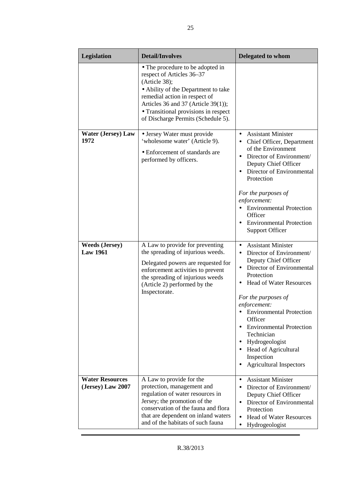| Legislation                                 | <b>Detail/Involves</b>                                                                                                                                                                                                                                                      | <b>Delegated to whom</b>                                                                                                                                                                                                                                                                                                                                                                                                                              |
|---------------------------------------------|-----------------------------------------------------------------------------------------------------------------------------------------------------------------------------------------------------------------------------------------------------------------------------|-------------------------------------------------------------------------------------------------------------------------------------------------------------------------------------------------------------------------------------------------------------------------------------------------------------------------------------------------------------------------------------------------------------------------------------------------------|
|                                             | • The procedure to be adopted in<br>respect of Articles 36-37<br>(Article 38);<br>• Ability of the Department to take<br>remedial action in respect of<br>Articles 36 and 37 (Article 39(1));<br>• Transitional provisions in respect<br>of Discharge Permits (Schedule 5). |                                                                                                                                                                                                                                                                                                                                                                                                                                                       |
| <b>Water (Jersey) Law</b><br>1972           | • Jersey Water must provide<br>'wholesome water' (Article 9).<br>• Enforcement of standards are<br>performed by officers.                                                                                                                                                   | <b>Assistant Minister</b><br>Chief Officer, Department<br>$\bullet$<br>of the Environment<br>Director of Environment/<br>$\bullet$<br>Deputy Chief Officer<br>Director of Environmental<br>Protection<br>For the purposes of<br>enforcement:<br>• Environmental Protection<br>Officer<br><b>Environmental Protection</b><br><b>Support Officer</b>                                                                                                    |
| <b>Weeds (Jersey)</b><br><b>Law 1961</b>    | A Law to provide for preventing<br>the spreading of injurious weeds.<br>Delegated powers are requested for<br>enforcement activities to prevent<br>the spreading of injurious weeds<br>(Article 2) performed by the<br>Inspectorate.                                        | <b>Assistant Minister</b><br>$\bullet$<br>Director of Environment/<br>$\bullet$<br>Deputy Chief Officer<br>Director of Environmental<br>$\bullet$<br>Protection<br><b>Head of Water Resources</b><br>For the purposes of<br>enforcement:<br><b>Environmental Protection</b><br>Officer<br>• Environmental Protection<br>Technician<br>Hydrogeologist<br>٠<br><b>Head of Agricultural</b><br>Inspection<br><b>Agricultural Inspectors</b><br>$\bullet$ |
| <b>Water Resources</b><br>(Jersey) Law 2007 | A Law to provide for the<br>protection, management and<br>regulation of water resources in<br>Jersey; the promotion of the<br>conservation of the fauna and flora<br>that are dependent on inland waters<br>and of the habitats of such fauna                               | <b>Assistant Minister</b><br>$\bullet$<br>Director of Environment/<br>Deputy Chief Officer<br>Director of Environmental<br>$\bullet$<br>Protection<br><b>Head of Water Resources</b><br>$\bullet$<br>Hydrogeologist<br>$\bullet$                                                                                                                                                                                                                      |